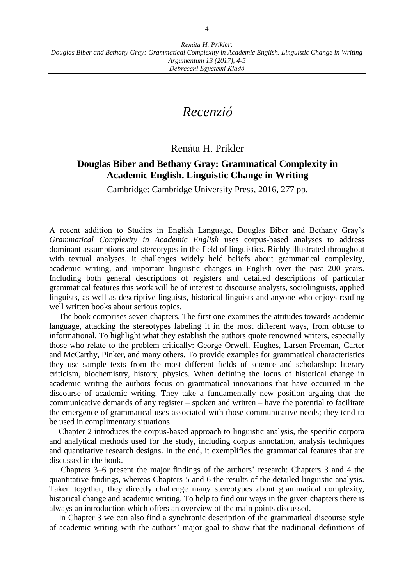## *Recenzió*

## Renáta H. Prikler

## **Douglas Biber and Bethany Gray: Grammatical Complexity in Academic English. Linguistic Change in Writing**

Cambridge: Cambridge University Press, 2016, 277 pp.

A recent addition to Studies in English Language, Douglas Biber and Bethany Gray's *Grammatical Complexity in Academic English* uses corpus-based analyses to address dominant assumptions and stereotypes in the field of linguistics. Richly illustrated throughout with textual analyses, it challenges widely held beliefs about grammatical complexity, academic writing, and important linguistic changes in English over the past 200 years. Including both general descriptions of registers and detailed descriptions of particular grammatical features this work will be of interest to discourse analysts, sociolinguists, applied linguists, as well as descriptive linguists, historical linguists and anyone who enjoys reading well written books about serious topics.

The book comprises seven chapters. The first one examines the attitudes towards academic language, attacking the stereotypes labeling it in the most different ways, from obtuse to informational. To highlight what they establish the authors quote renowned writers, especially those who relate to the problem critically: George Orwell, Hughes, Larsen-Freeman, Carter and McCarthy, Pinker, and many others. To provide examples for grammatical characteristics they use sample texts from the most different fields of science and scholarship: literary criticism, biochemistry, history, physics. When defining the locus of historical change in academic writing the authors focus on grammatical innovations that have occurred in the discourse of academic writing. They take a fundamentally new position arguing that the communicative demands of any register – spoken and written – have the potential to facilitate the emergence of grammatical uses associated with those communicative needs; they tend to be used in complimentary situations.

Chapter 2 introduces the corpus-based approach to linguistic analysis, the specific corpora and analytical methods used for the study, including corpus annotation, analysis techniques and quantitative research designs. In the end, it exemplifies the grammatical features that are discussed in the book.

Chapters 3–6 present the major findings of the authors' research: Chapters 3 and 4 the quantitative findings, whereas Chapters 5 and 6 the results of the detailed linguistic analysis. Taken together, they directly challenge many stereotypes about grammatical complexity, historical change and academic writing. To help to find our ways in the given chapters there is always an introduction which offers an overview of the main points discussed.

In Chapter 3 we can also find a synchronic description of the grammatical discourse style of academic writing with the authors' major goal to show that the traditional definitions of